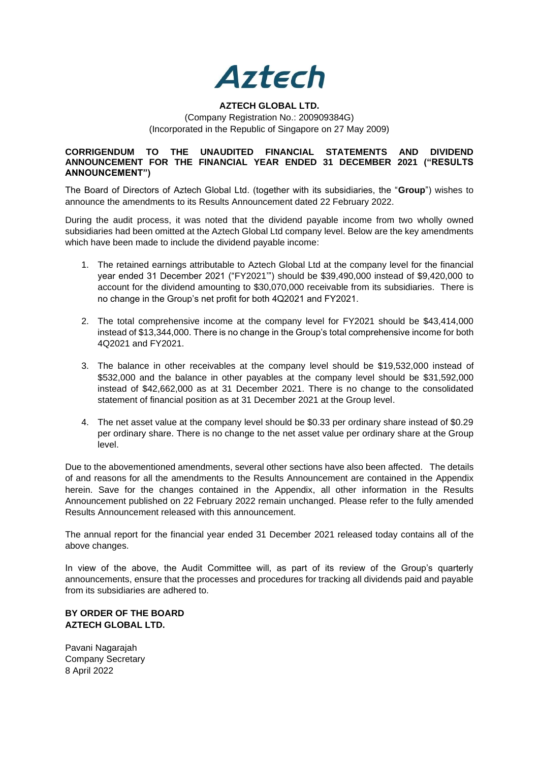

## **AZTECH GLOBAL LTD.**

(Company Registration No.: 200909384G) (Incorporated in the Republic of Singapore on 27 May 2009)

## **CORRIGENDUM TO THE UNAUDITED FINANCIAL STATEMENTS AND DIVIDEND ANNOUNCEMENT FOR THE FINANCIAL YEAR ENDED 31 DECEMBER 2021 ("RESULTS ANNOUNCEMENT")**

The Board of Directors of Aztech Global Ltd. (together with its subsidiaries, the "**Group**") wishes to announce the amendments to its Results Announcement dated 22 February 2022.

During the audit process, it was noted that the dividend payable income from two wholly owned subsidiaries had been omitted at the Aztech Global Ltd company level. Below are the key amendments which have been made to include the dividend payable income:

- 1. The retained earnings attributable to Aztech Global Ltd at the company level for the financial year ended 31 December 2021 ("FY2021'") should be \$39,490,000 instead of \$9,420,000 to account for the dividend amounting to \$30,070,000 receivable from its subsidiaries. There is no change in the Group's net profit for both 4Q2021 and FY2021.
- 2. The total comprehensive income at the company level for FY2021 should be \$43,414,000 instead of \$13,344,000. There is no change in the Group's total comprehensive income for both 4Q2021 and FY2021.
- 3. The balance in other receivables at the company level should be \$19,532,000 instead of \$532,000 and the balance in other payables at the company level should be \$31,592,000 instead of \$42,662,000 as at 31 December 2021. There is no change to the consolidated statement of financial position as at 31 December 2021 at the Group level.
- 4. The net asset value at the company level should be \$0.33 per ordinary share instead of \$0.29 per ordinary share. There is no change to the net asset value per ordinary share at the Group level.

Due to the abovementioned amendments, several other sections have also been affected. The details of and reasons for all the amendments to the Results Announcement are contained in the Appendix herein. Save for the changes contained in the Appendix, all other information in the Results Announcement published on 22 February 2022 remain unchanged. Please refer to the fully amended Results Announcement released with this announcement.

The annual report for the financial year ended 31 December 2021 released today contains all of the above changes.

In view of the above, the Audit Committee will, as part of its review of the Group's quarterly announcements, ensure that the processes and procedures for tracking all dividends paid and payable from its subsidiaries are adhered to.

## **BY ORDER OF THE BOARD AZTECH GLOBAL LTD.**

Pavani Nagarajah Company Secretary 8 April 2022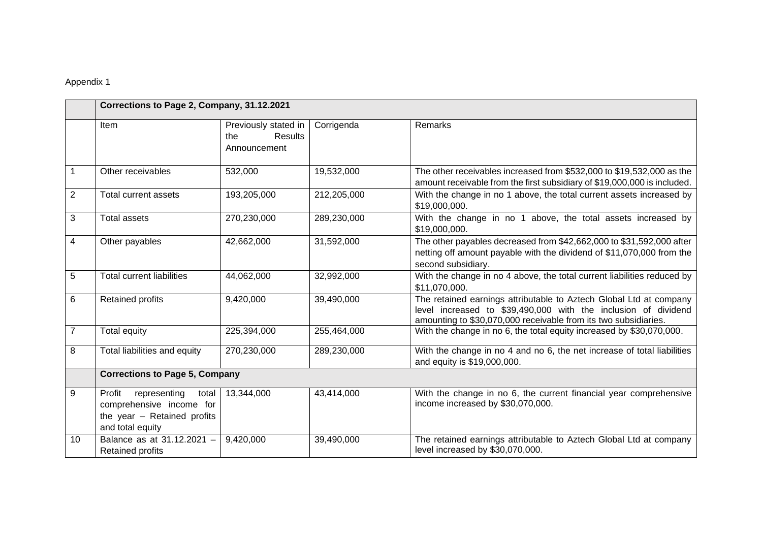## Appendix 1

|                         | Corrections to Page 2, Company, 31.12.2021                                                                     |                                                        |             |                                                                                                                                                                                                         |  |
|-------------------------|----------------------------------------------------------------------------------------------------------------|--------------------------------------------------------|-------------|---------------------------------------------------------------------------------------------------------------------------------------------------------------------------------------------------------|--|
|                         | <b>Item</b>                                                                                                    | Previously stated in<br>Results<br>the<br>Announcement | Corrigenda  | Remarks                                                                                                                                                                                                 |  |
|                         | Other receivables                                                                                              | 532,000                                                | 19,532,000  | The other receivables increased from \$532,000 to \$19,532,000 as the<br>amount receivable from the first subsidiary of \$19,000,000 is included.                                                       |  |
| $\mathbf{2}$            | <b>Total current assets</b>                                                                                    | 193,205,000                                            | 212,205,000 | With the change in no 1 above, the total current assets increased by<br>\$19,000,000.                                                                                                                   |  |
| 3                       | <b>Total assets</b>                                                                                            | 270,230,000                                            | 289,230,000 | With the change in no 1 above, the total assets increased by<br>\$19,000,000.                                                                                                                           |  |
| $\overline{\mathbf{4}}$ | Other payables                                                                                                 | 42,662,000                                             | 31,592,000  | The other payables decreased from \$42,662,000 to \$31,592,000 after<br>netting off amount payable with the dividend of \$11,070,000 from the<br>second subsidiary.                                     |  |
| 5                       | <b>Total current liabilities</b>                                                                               | 44,062,000                                             | 32,992,000  | With the change in no 4 above, the total current liabilities reduced by<br>\$11,070,000.                                                                                                                |  |
| 6                       | Retained profits                                                                                               | 9,420,000                                              | 39,490,000  | The retained earnings attributable to Aztech Global Ltd at company<br>level increased to \$39,490,000 with the inclusion of dividend<br>amounting to \$30,070,000 receivable from its two subsidiaries. |  |
| $\overline{7}$          | Total equity                                                                                                   | 225,394,000                                            | 255,464,000 | With the change in no 6, the total equity increased by \$30,070,000.                                                                                                                                    |  |
| 8                       | Total liabilities and equity                                                                                   | 270,230,000                                            | 289,230,000 | With the change in no 4 and no 6, the net increase of total liabilities<br>and equity is \$19,000,000.                                                                                                  |  |
|                         | <b>Corrections to Page 5, Company</b>                                                                          |                                                        |             |                                                                                                                                                                                                         |  |
| 9                       | Profit<br>representing<br>total<br>comprehensive income for<br>the year - Retained profits<br>and total equity | 13,344,000                                             | 43,414,000  | With the change in no 6, the current financial year comprehensive<br>income increased by \$30,070,000.                                                                                                  |  |
| 10                      | Balance as at 31.12.2021 -<br>Retained profits                                                                 | 9,420,000                                              | 39,490,000  | The retained earnings attributable to Aztech Global Ltd at company<br>level increased by \$30,070,000.                                                                                                  |  |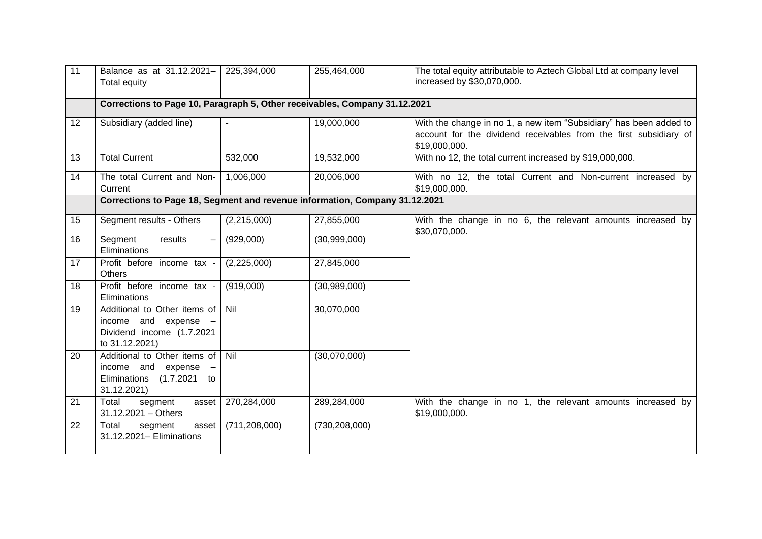| 11 | Balance as at 31.12.2021-<br>Total equity                                                                | 225,394,000                                                                | 255,464,000     | The total equity attributable to Aztech Global Ltd at company level<br>increased by \$30,070,000.                                                        |  |
|----|----------------------------------------------------------------------------------------------------------|----------------------------------------------------------------------------|-----------------|----------------------------------------------------------------------------------------------------------------------------------------------------------|--|
|    |                                                                                                          | Corrections to Page 10, Paragraph 5, Other receivables, Company 31.12.2021 |                 |                                                                                                                                                          |  |
| 12 | Subsidiary (added line)                                                                                  |                                                                            | 19,000,000      | With the change in no 1, a new item "Subsidiary" has been added to<br>account for the dividend receivables from the first subsidiary of<br>\$19,000,000. |  |
| 13 | <b>Total Current</b>                                                                                     | 532,000                                                                    | 19,532,000      | With no 12, the total current increased by \$19,000,000.                                                                                                 |  |
| 14 | The total Current and Non-<br>Current                                                                    | 1,006,000                                                                  | 20,006,000      | With no 12, the total Current and Non-current increased by<br>\$19,000,000.                                                                              |  |
|    | Corrections to Page 18, Segment and revenue information, Company 31.12.2021                              |                                                                            |                 |                                                                                                                                                          |  |
| 15 | Segment results - Others                                                                                 | (2,215,000)                                                                | 27,855,000      | With the change in no 6, the relevant amounts increased by<br>\$30,070,000.                                                                              |  |
| 16 | Segment<br>results<br>$\overline{\phantom{0}}$<br>Eliminations                                           | (929,000)                                                                  | (30,999,000)    |                                                                                                                                                          |  |
| 17 | Profit before income tax -<br><b>Others</b>                                                              | (2,225,000)                                                                | 27,845,000      |                                                                                                                                                          |  |
| 18 | Profit before income tax -<br>Eliminations                                                               | (919,000)                                                                  | (30,989,000)    |                                                                                                                                                          |  |
| 19 | Additional to Other items of<br>income<br>and $expense -$<br>Dividend income (1.7.2021<br>to 31.12.2021) | Nil                                                                        | 30,070,000      |                                                                                                                                                          |  |
| 20 | Additional to Other items of<br>income and<br>expense<br>Eliminations<br>(1.7.2021)<br>to<br>31.12.2021) | Nil                                                                        | (30,070,000)    |                                                                                                                                                          |  |
| 21 | Total<br>segment<br>asset<br>31.12.2021 - Others                                                         | 270,284,000                                                                | 289,284,000     | With the change in no 1, the relevant amounts increased by<br>\$19,000,000.                                                                              |  |
| 22 | Total<br>segment<br>asset<br>31.12.2021- Eliminations                                                    | (711, 208, 000)                                                            | (730, 208, 000) |                                                                                                                                                          |  |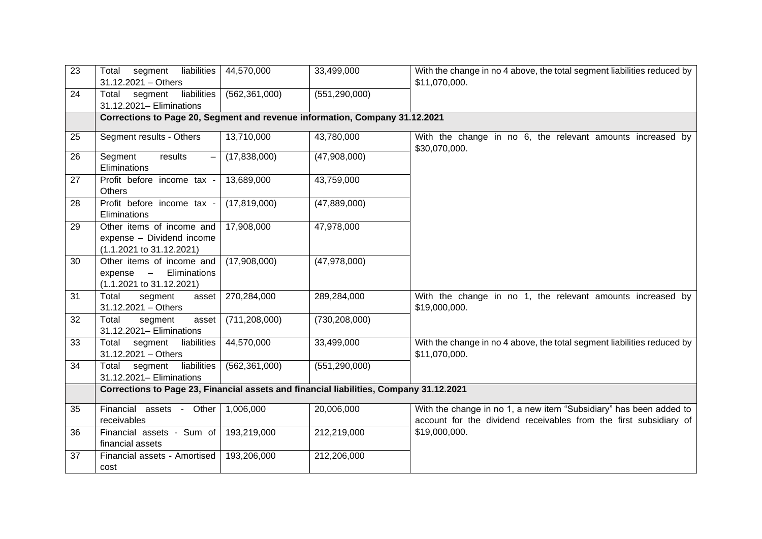| $\overline{23}$ | segment<br>liabilities<br>Total<br>$31.12.2021 - Others$                                                             | 44,570,000                                                                  | 33,499,000      | With the change in no 4 above, the total segment liabilities reduced by<br>\$11,070,000.                                                |  |  |
|-----------------|----------------------------------------------------------------------------------------------------------------------|-----------------------------------------------------------------------------|-----------------|-----------------------------------------------------------------------------------------------------------------------------------------|--|--|
| 24              | liabilities<br>Total<br>segment<br>31.12.2021- Eliminations                                                          | (562, 361, 000)                                                             | (551, 290, 000) |                                                                                                                                         |  |  |
|                 |                                                                                                                      | Corrections to Page 20, Segment and revenue information, Company 31.12.2021 |                 |                                                                                                                                         |  |  |
| 25              | Segment results - Others                                                                                             | 13,710,000                                                                  | 43,780,000      | With the change in no 6, the relevant amounts increased by<br>\$30,070,000.                                                             |  |  |
| 26              | Segment<br>results<br>Eliminations                                                                                   | (17,838,000)                                                                | (47,908,000)    |                                                                                                                                         |  |  |
| 27              | Profit before income tax -<br><b>Others</b>                                                                          | 13,689,000                                                                  | 43,759,000      |                                                                                                                                         |  |  |
| 28              | Profit before income tax -<br>Eliminations                                                                           | (17, 819, 000)                                                              | (47,889,000)    |                                                                                                                                         |  |  |
| 29              | Other items of income and<br>expense - Dividend income<br>(1.1.2021 to 31.12.2021)                                   | 17,908,000                                                                  | 47,978,000      |                                                                                                                                         |  |  |
| 30              | Other items of income and<br>Eliminations<br>expense<br>$\qquad \qquad \blacksquare$<br>$(1.1.2021$ to $31.12.2021)$ | (17,908,000)                                                                | (47,978,000)    |                                                                                                                                         |  |  |
| 31              | Total<br>segment<br>asset<br>31.12.2021 - Others                                                                     | 270,284,000                                                                 | 289,284,000     | With the change in no 1, the relevant amounts increased by<br>\$19,000,000.                                                             |  |  |
| 32              | Total<br>segment<br>asset<br>31.12.2021- Eliminations                                                                | (711, 208, 000)                                                             | (730, 208, 000) |                                                                                                                                         |  |  |
| 33              | Total<br>segment<br>liabilities<br>31.12.2021 - Others                                                               | 44,570,000                                                                  | 33,499,000      | With the change in no 4 above, the total segment liabilities reduced by<br>\$11,070,000.                                                |  |  |
| 34              | segment<br>liabilities<br>Total<br>31.12.2021- Eliminations                                                          | (562, 361, 000)                                                             | (551, 290, 000) |                                                                                                                                         |  |  |
|                 | Corrections to Page 23, Financial assets and financial liabilities, Company 31.12.2021                               |                                                                             |                 |                                                                                                                                         |  |  |
| 35              | Financial assets - Other<br>receivables                                                                              | 1,006,000                                                                   | 20,006,000      | With the change in no 1, a new item "Subsidiary" has been added to<br>account for the dividend receivables from the first subsidiary of |  |  |
| 36              | Financial assets - Sum of<br>financial assets                                                                        | 193,219,000                                                                 | 212,219,000     | \$19,000,000.                                                                                                                           |  |  |
| 37              | Financial assets - Amortised<br>cost                                                                                 | 193,206,000                                                                 | 212,206,000     |                                                                                                                                         |  |  |